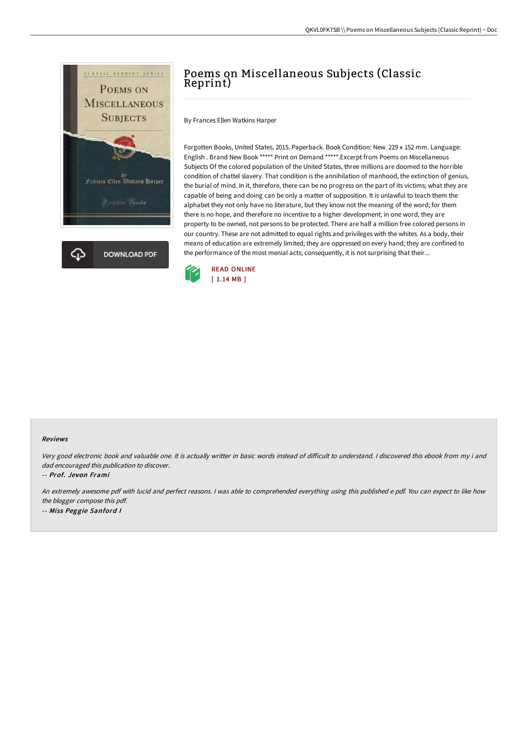

## Poems on Miscellaneous Subjects (Classic Reprint)

By Frances Ellen Watkins Harper

Forgotten Books, United States, 2015. Paperback. Book Condition: New. 229 x 152 mm. Language: English . Brand New Book \*\*\*\*\* Print on Demand \*\*\*\*\*.Excerpt from Poems on Miscellaneous Subjects Of the colored population of the United States, three millions are doomed to the horrible condition of chattel slavery. That condition is the annihilation of manhood, the extinction of genius, the burial of mind. In it, therefore, there can be no progress on the part of its victims; what they are capable of being and doing can be only a matter of supposition. It is unlawful to teach them the alphabet they not only have no literature, but they know not the meaning of the word; for them there is no hope, and therefore no incentive to a higher development; in one word, they are property to be owned, not persons to be protected. There are half a million free colored persons in our country. These are not admitted to equal rights and privileges with the whites. As a body, their means of education are extremely limited; they are oppressed on every hand; they are confined to the performance of the most menial acts; consequently, it is not surprising that their...



## Reviews

Very good electronic book and valuable one. It is actually writter in basic words instead of difficult to understand. I discovered this ebook from my i and dad encouraged this publication to discover.

-- Prof. Jevon Frami

An extremely awesome pdf with lucid and perfect reasons. <sup>I</sup> was able to comprehended everything using this published <sup>e</sup> pdf. You can expect to like how the blogger compose this pdf. -- Miss Peggie Sanford <sup>I</sup>